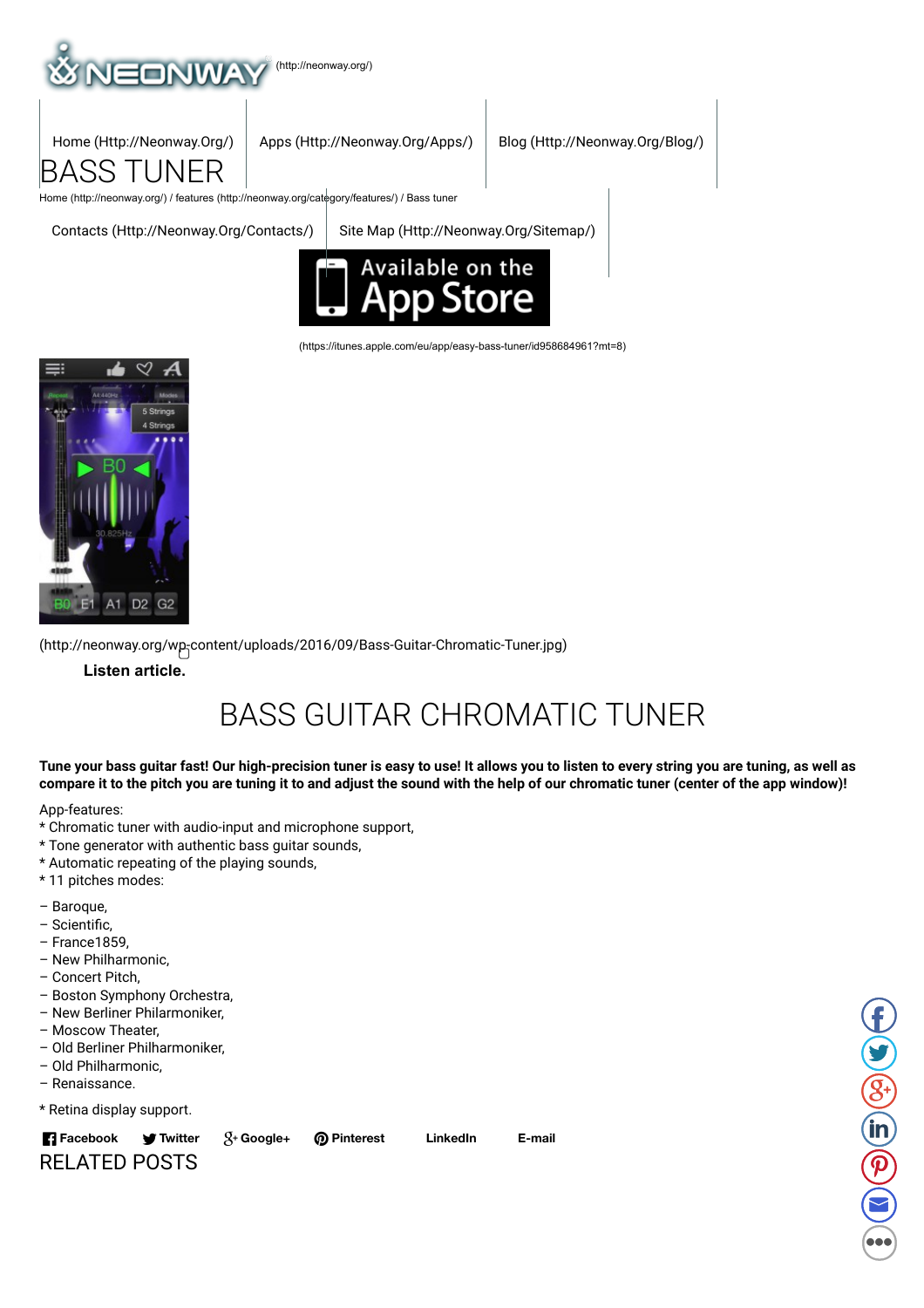



Home (Http://Neonway.Org/) Apps (Http://Neonway.Org/Apps/) Blog (Http://Neonway.Org/Blog/)

Home (http://neonway.org/) / features (http://neonway.org/category/features/) / Bass tuner

Contacts (Http://Neonway.Org/Contacts/) Site Map (Http://Neonway.Org/Sitemap/)



(https://itunes.apple.com/eu/app/easy-bass-tuner/id958684961?mt=8)



(http://neonway.org/wp-content/uploads/2016/09/Bass-Guitar-Chromatic-Tuner.jpg)

**Listen article.**

## BASS GUITAR CHROMATIC TUNER

Tune your bass guitar fast! Our high-precision tuner is easy to use! It allows you to listen to every string you are tuning, as well as compare it to the pitch you are tuning it to and adjust the sound with the help of our chromatic tuner (center of the app window)!

App-features:

- \* Chromatic tuner with audio-input and microphone support,
- \* Tone generator with authentic bass guitar sounds,
- \* Automatic repeating of the playing sounds,
- \* 11 pitches modes:
- Baroque,
- Scientic,
- France1859,
- New Philharmonic,
- Concert Pitch,
- Boston Symphony Orchestra,
- New Berliner Philarmoniker,
- Moscow Theater,
- Old Berliner Philharmoniker,
- Old Philharmonic,
- Renaissance.
- \* Retina display support.



**Twitter Google+ Pinterest LinkedIn E-mail**